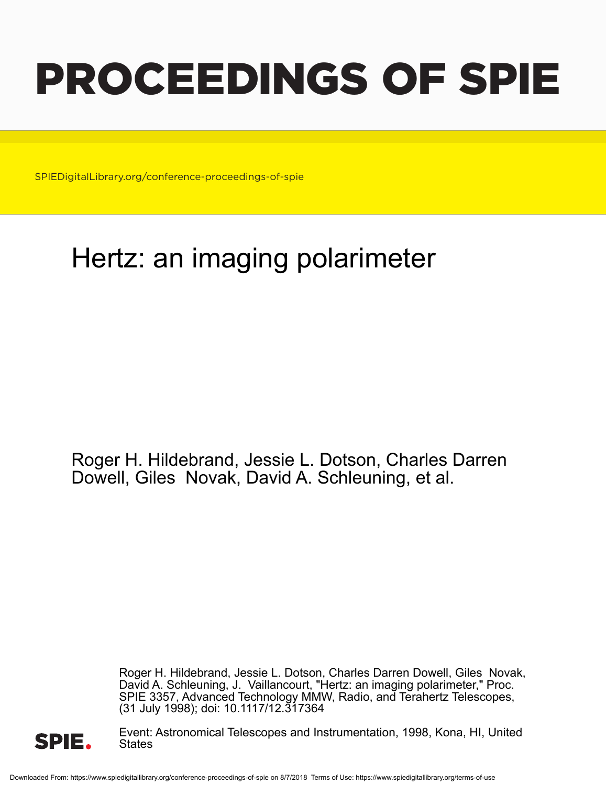# PROCEEDINGS OF SPIE

SPIEDigitalLibrary.org/conference-proceedings-of-spie

## Hertz: an imaging polarimeter

Roger H. Hildebrand, Jessie L. Dotson, Charles Darren Dowell, Giles Novak, David A. Schleuning, et al.

> Roger H. Hildebrand, Jessie L. Dotson, Charles Darren Dowell, Giles Novak, David A. Schleuning, J. Vaillancourt, "Hertz: an imaging polarimeter," Proc. SPIE 3357, Advanced Technology MMW, Radio, and Terahertz Telescopes, (31 July 1998); doi: 10.1117/12.317364



Event: Astronomical Telescopes and Instrumentation, 1998, Kona, HI, United **States**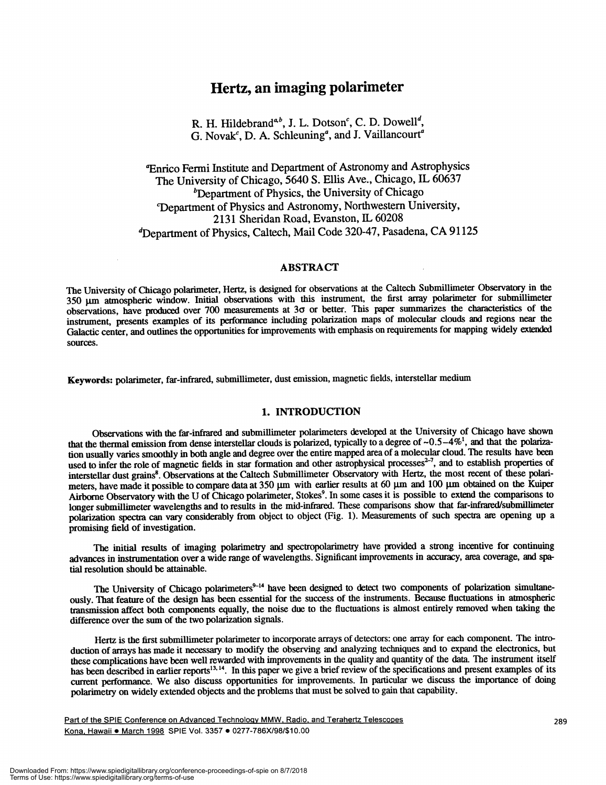### Hertz, an imaging polarimeter

R. H. Hildebrand<sup> $a, b$ </sup>, J. L. Dotson<sup>c</sup>, C. D. Dowell<sup>d</sup>, G. Novak<sup>c</sup>, D. A. Schleuning<sup>a</sup>, and J. Vaillancourt<sup>a</sup>

aEnrico Fermi Institute and Department of Astronomy and Astrophysics The University of Chicago, 5640 S. Ellis Ave., Chicago, IL 60637  $b$ Department of Physics, the University of Chicago 'Department of Physics and Astronomy, Northwestern University, 2131 Sheridan Road, Evanston, IL 60208 <sup>d</sup>Department of Physics, Caltech, Mail Code 320-47, Pasadena, CA 91125

#### ABSTRACT

The University of Chicago polarimeter, Hertz, is designed for observations at the Caltech Submillimeter Observatory in the 350 µm atmospheric window. Initial observations with this instrument, the first array polarimeter for submillimeter observations, have produced over 700 measurements at 30 or better. This paper summarizes the characteristics of the instrument, presents examples of its performance including polarization maps of molecular clouds and regions near the Galactic center, and outlines the opportunities for improvements with emphasis on requirements for mapping widely extended sources.

Keywords: polarimeter, far-infrared, submillimeter, dust emission, magnetic fields, interstellar medium

#### 1. INTRODUCTION

Observations with the far-infrared and submillimeter poharimeters developed at the University of Chicago have shown that the thermal emission from dense interstellar clouds is polarized, typically to a degree of  $\sim 0.5-4\%$ <sup>1</sup>, and that the polarization usually varies smoothly in both angle and degree over the entire mapped area of a molecular cloud. The results have been used to infer the role of magnetic fields in star formation and other astrophysical processes $2-7$ , and to establish properties of interstellar dust grains<sup>8</sup>. Observations at the Caltech Submillimeter Observatory with Hertz, the most recent of these polarimeters, have made it possible to compare data at 350  $\mu$ m with earlier results at 60  $\mu$ m and 100  $\mu$ m obtained on the Kuiper Airborne Observatory with the U of Chicago polarimeter, Stokes<sup>9</sup>. In some cases it is possible to extend the comparisons to longer submillimeter wavelengths and to results in the mid-infrared. These comparisons show that far-infrared/submillimeter polarization spectra can vary considerably from object to object (Fig. 1). Measurements of such spectra are opening up a promising field of investigation.

The initial results of imaging polarimetry and spectropolarimetry have provided a strong incentive for continuing advances in instrumentation over a wide range of wavelengths. Significant improvements in accuracy, area coverage, and spatial resolution should be attainable.

The University of Chicago polarimeters<sup>9-14</sup> have been designed to detect two components of polarization simultaneously. That feature of the design has been essential for the success of the instruments. Because fluctuations in atmospheric transmission affect both components equally, the noise due to the fluctuations is almost entirely removed when taking the difference over the sum of the two polarization signals.

Hertz is the first submillimeter polarimeter to incorporate arrays of detectors: one array for each component. The introduction of arrays has made it necessary to modify the observing and analyzing techniques and to expand the electronics, but these complications have been well rewarded with improvements in the quality and quantity of the data. The instrument itself has been described in earlier reports<sup>13, 14</sup>. In this paper we give a brief review of the specifications and present examples of its current performance. We also discuss opportunities for improvements. In particular we discuss the importance of doing polarimetiy on widely extended objects and the problems that must be solved to gain that capability.

Part of the SPIE Conference on Advanced Technology MMW. Radio, and Terahertz Telescopes 289 Kona, Hawaii · March 1998 SPIE Vol. 3357 · 0277-786X/98/\$10.00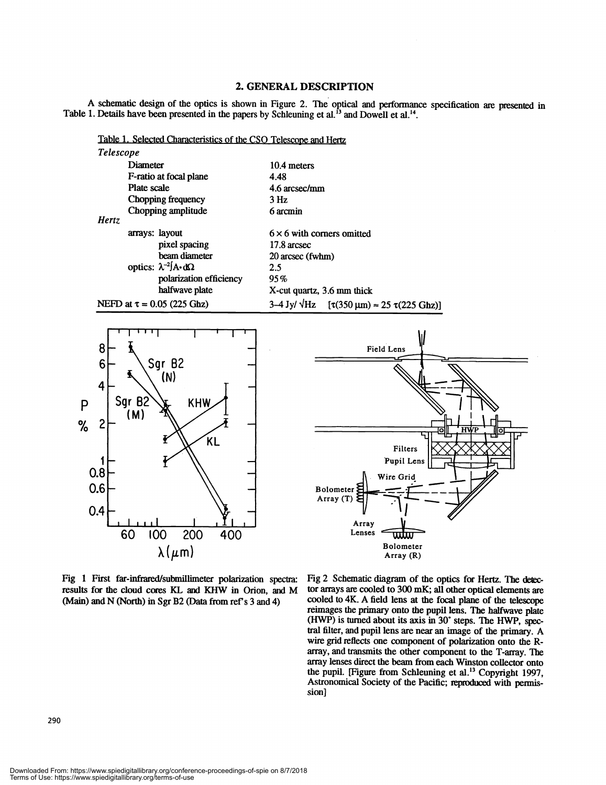#### 2. GENERAL DESCRIPTION

A schematic design of the optics is shown in Figure 2. The optical and perfonnance specification are presented in Table 1. Details have been presented in the papers by Schleuning et al.<sup>13</sup> and Dowell et al.<sup>14</sup>.

| Table 1. Selected Characteristics of the CSO Telescone and Hertz |                                          |                                                                                 |
|------------------------------------------------------------------|------------------------------------------|---------------------------------------------------------------------------------|
| <i>Telescope</i>                                                 |                                          |                                                                                 |
|                                                                  | Diameter                                 | 10.4 meters                                                                     |
|                                                                  | F-ratio at focal plane                   | 4.48                                                                            |
|                                                                  | Plate scale                              | 4.6 arcsec/mm                                                                   |
|                                                                  | Chopping frequency                       | 3 <sub>Hz</sub>                                                                 |
|                                                                  | Chopping amplitude                       | 6 arcmin                                                                        |
| <b>Hertz</b>                                                     |                                          |                                                                                 |
|                                                                  | arrays: layout                           | $6 \times 6$ with corners omitted                                               |
|                                                                  | pixel spacing                            | 17.8 arcsec                                                                     |
|                                                                  | beam diameter                            | 20 arcsec (fwhm)                                                                |
|                                                                  | optics: $\lambda^{-2}$ $A \cdot d\Omega$ | 2.5                                                                             |
|                                                                  | polarization efficiency                  | 95%                                                                             |
|                                                                  | halfwave plate                           | X-cut quartz, 3.6 mm thick                                                      |
| NEFD at $\tau = 0.05$ (225 Ghz)                                  |                                          | $3-4$ Jy/ $\sqrt{Hz}$ [ $\tau(350 \,\mu m) \approx 25 \tau(225 \,\text{Ghz})$ ] |





Fig 1 First far-infrared/submillimeter polarization spectra: results for the cloud cores KL and KHW in Orion, and M (Main) and N (North) in Sgr B2 (Data from ref's 3 and 4)

Fig 2 Schematic diagram of the optics for Hertz. The detector arrays are cooled to 300 mK; all other optical elements are cooled to 4K. A field lens at the focal plane of the telescope reimages the primary onto the pupil lens. The halfwave plate  $(HWP)$  is turned about its axis in  $30^{\circ}$  steps. The HWP, spectral filter, and pupil lens are near an image of the primary. A wire grid reflects one component of polarization onto the Rarray, and transmits the other component to the T-array. The array lenses direct the beam from each Winston collector onto the pupil. [Figure from Schleuning et al.<sup>13</sup> Copyright 1997, Astronomical Society of the Pacific; reproduced with permission]

Downloaded From: https://www.spiedigitallibrary.org/conference-proceedings-of-spie on 8/7/2018 Terms of Use: https://www.spiedigitallibrary.org/terms-of-use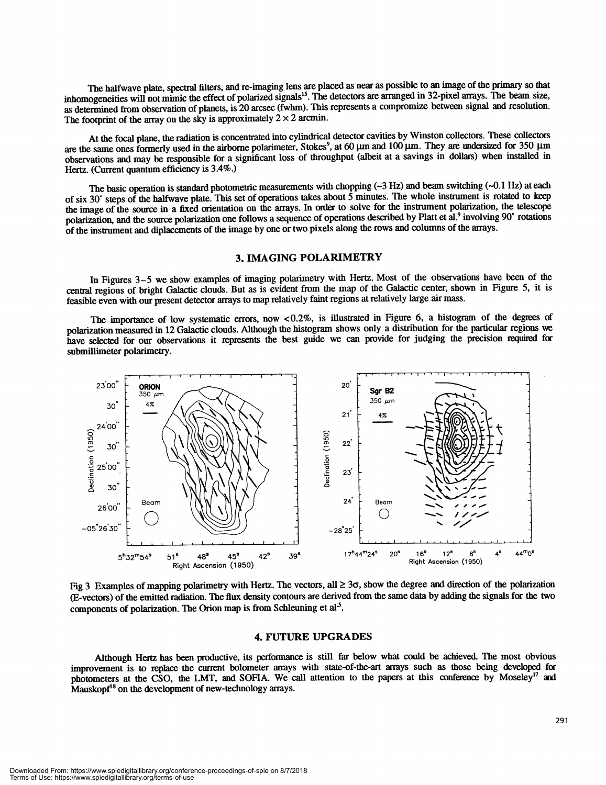The halfwave plate, spectral filters, and re-imaging lens are placed as near as possible to an image of the primary so that inhomogeneities will not mimic the effect of polarized signals<sup>15</sup>. The detectors are arranged in 32-pixel arrays. The beam size, as determined from observation of planets, is 20 arcsec (fwhm). This represents a compromize between signal and resolution. The footprint of the array on the sky is approximately  $2 \times 2$  arcmin.

At the focal plane, the radiation is concentrated into cylindrical detector cavities by Winston collectors. These collectors are the same ones formerly used in the airborne polarimeter, Stokes<sup>9</sup>, at 60 µm and 100 µm. They are undersized for 350 µm observations and may be responsible for a significant loss of throughput (albeit at a savings in dollars) when installed in Hertz. (Current quantum efficiency is 3.4%.)

The basic operation is standard photometric measurements with chopping  $(\sim 3$  Hz) and beam switching  $(\sim 0.1$  Hz) at each of six 30° steps of the halfwave plate. This set of operations takes about  $\bar{5}$  minutes. The whole instrument is rotated to keep the image of the source in a fixed orientation on the arrays. In order to solve for the instrument polarization, the telescope polarization, and the source polarization one follows a sequence of operations described by Platt et al.<sup>9</sup> involving 90° rotations of the insirument and diplacements of the image by one or two pixels along the rows and columns of the anays.

#### 3. IMAGING POLARIMETRY

In Figures 3–5 we show examples of imaging polarimetry with Hertz. Most of the observations have been of the central regions of bright Galactic clouds. But as is evident from the map of the Galactic center, shown in Figure 5, it is feasible even with our present detector arrays to map relatively faint regions at relatively large air mass.

The importance of low systematic errors, now <0.2%, is illustrated in Figure 6, a histogram of the degrees of polarization measured in 12 Galactic clouds. Although the histogram shows only a distribution for the particular regions we have selected for our observations it represents the best guide we can provide for judging the precision required for submillimeter polarimetry.



Fig 3 Examples of mapping polarimetry with Hertz. The vectors, all  $\geq 3\sigma$ , show the degree and direction of the polarization (E-vectors) of the emitted radiation. The flux density contours are derived from the same data by adding the signals for the two components of polarization. The Orion map is from Schleuning et al's.

#### 4. FUTURE UPGRADES

Although Hertz has been productive, its perfonnance is still far below what could be achieved. The most obvious improvement is to replace the current bolometer arrays with state-of-the-art arrays such as those being developed fir photometers at the CSO, the LMT, and SOFIA. We call attention to the papers at this conference by Moseley<sup>17</sup> and  $M$ auskopf $18$  on the development of new-technology arrays.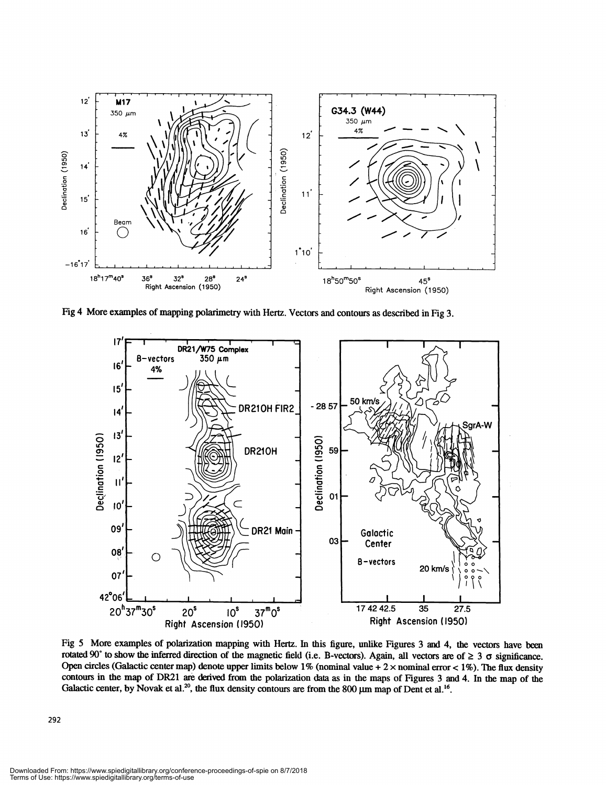

Fig 4 More examples of mapping polarimetry with Hertz. Vectors and contours as described in Fig 3.



Fig 5 More examples of polarization mapping with Hertz. In this figure, unlike Figures 3 and 4, the vectors have been rotated 90° to show the inferred direction of the magnetic field (i.e. B-vectors). Again, all vectors are of  $\geq 3$   $\sigma$  significance. Open circles (Galactic center map) denote upper limits below 1% (nominal value + 2 x nominal error < 1%). The flux density contours in the map of DR21 are derived from the polarization data as in the maps of Figures 3 and 4. In the map of the Galactic center, by Novak et al.<sup>20</sup>, the flux density contours are from the 800  $\mu$ m map of Dent et al.<sup>16</sup>.

Downloaded From: https://www.spiedigitallibrary.org/conference-proceedings-of-spie on 8/7/2018 Terms of Use: https://www.spiedigitallibrary.org/terms-of-use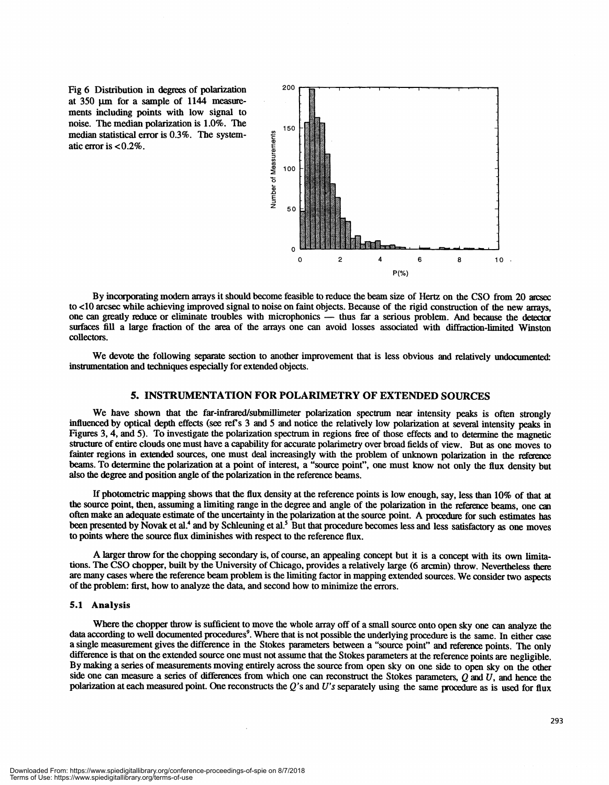Fig 6 Distribution in degrees of polarization at 350 µm for a sample of 1144 measurements including points with low signal to noise. The median polarization is 1.0%. The median statistical error is 0.3%. The systematic error is <0.2%.



By incorporating modern arrays it should become feasible to reduce the beam size of Hertz on the CSO from 20 arcsec to <10 arcsec while achieving improved signal to noise on faint objects. Because of the rigid construction of the new arrays, one can greatly reduce or eliminate troubles with microphonics — thus far a serious problem. And because the detector surfaces fill a large fraction of the area of the arrays one can avoid losses associated with diffracüon-limited Winston collectors.

We devote the following separate section to another improvement that is less obvious and relatively undocumented: instrumentation and techniques especially for extended objects.

#### 5. INSTRUMENTATION FOR POLARIMETRY OF EXTENDED SOURCES

We have shown that the far-infrared/submillimeter polarization spectrum near intensity peaks is often strongly influenced by optical depth effects (see refs 3 and 5 and notice the relatively low polarization at several intensity peaks in Figures 3, 4, and 5). To investigate the polarization spectrum in regions free of those effects and to determine the magnetic structure of entire clouds one must have a capability for accurate polarimetry over broad fields of view. But as one moves to fainter regions in extended sources, one must deal increasingly with the problem of unknown polarization in the reference beams. To determine the polarization at a point of interest, a "source point", one must know not only the flux density but also the degree and position angle of the polarization in the reference beams.

If photometric mapping shows that the flux density at the reference points is low enough, say, less than 10% of that at the source point, then, assuming a limiting range in the degree and angle of the polarization in the reference beams, one can often make an adequate estimate of the uncertainty in the polarization at the source point. A pmcedure for such estimates has been presented by Novak et al.<sup>4</sup> and by Schleuning et al.<sup>5</sup> But that procedure becomes less and less satisfactory as one moves to points where the source flux diminishes with respect to the reference flux.

A larger throw for the chopping secondary is, of course, an appealing concept but it is a concept with its own limitations. The CSO chopper, built by the University of Chicago, provides a relatively large (6 arcmin) throw. Nevertheless there are many cases where the reference beam problem is the limiting factor in mapping extended sources. We consider two aspects of the problem: first, how to analyze the data, and second how to minimize the errors.

#### 5.1 Analysis

Where the chopper throw is sufficient to move the whole array off of a small source onto open sky one can analyze the data according to well documented procedures<sup>9</sup>. Where that is not possible the underlying procedure is the same. In either case a single measurement gives the difference in the Stokes parameters between a "source point" and reference points. The only difference is that on the extended source one must not assume that the Stokes parameters at the reference points are negligible. By making a series of measurements moving entirely across the source from open sky on one side to open sky on the other side one can measure a series of differences from which one can reconstruct the Stokes parameters,  $Q$  and  $U$ , and hence the polarization at each measured point. One reconstructs the  $Q$ 's and  $U$ 's separately using the same procedure as is used for flux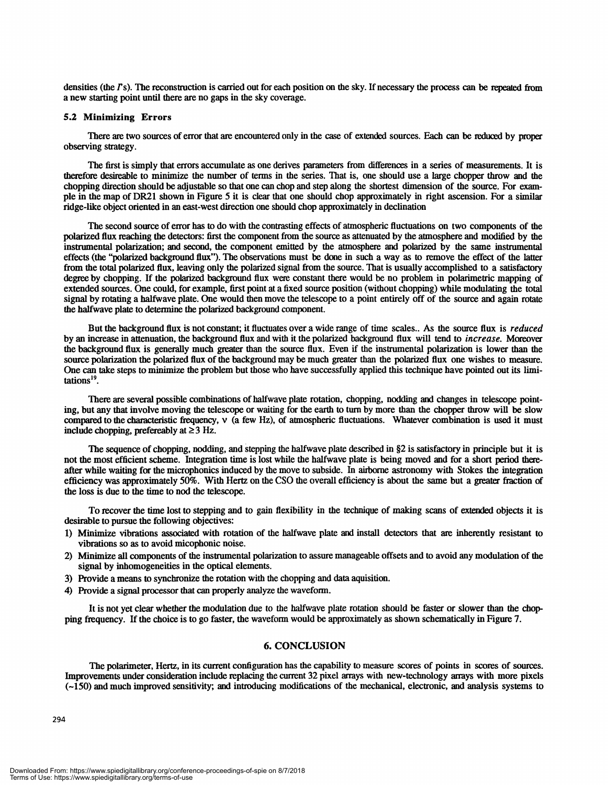densities (the  $\Gamma$ s). The reconstruction is carried out for each position on the sky. If necessary the process can be repeated from a new starting point until there are no gaps in the sky coverage.

#### 5.2 Minimizing Errors

There are two sources of error that are encountered only in the case of extended sources. Each can be reduced by proper observing strategy.

The first is simply that errors accumulate as one derives parameters from differences in a series of measurements. It is therefore desireable to minimize the number of terms in the series. That is, one should use a large chopper throw and the chopping direction should be adjustable so that one can chop and step along the shortest dimension of the source. For exampie in the map of DR21 shown in Figure 5 it is clear that one should chop approximately in right ascension. For a similar ridge-like object oriented in an east-west direction one should chop approximately in declination

The second source of error has to do with the contrasting effects of atmospheric fluctuations on two components of the polarized flux reaching the detectors: first the component from the source as attenuated by the atmosphere and modified by the instrumental polarization; and second, the component emitted by the atmosphere and polarized by the same instrumental effects (the "polarized background flux"). The observations must be done in such a way as to remove the effect of the latter from the total polarized flux, leaving only the polarized signal from the source. That is usually accomplished to a satisfactory degree by chopping. If the polarized background flux were constant there would be no problem in polarimetric mapping of extended sources. One could, for example, first point at a fixed source position (without chopping) while modulating the total signal by rotating a halfwave plate. One would then move the telescope to a point entirely off of the source and again rotate the halfwave plate to determine the polarized background component.

But the background flux is not constant; it fluctuates over a wide range of time scales.. As the source flux is *reduced* by an increase in attenuation, the background flux and with it the polarized background flux will tend to *increase*. Moreover the background flux is generally much greater than the source flux. Even if the instrumental polarization is lower than the source polarization the polarized flux of the background may be much greater than the polarized flux one wishes to measure. One can take steps to minimize the problem but those who have successfully applied this technique have pointed out its limitations'9.

There are several possible combinations of halfwave plate rotation, chopping, nodding and changes in telescope pointing, but any that involve moving the telescope or waiting for the earth to turn by more than the chopper throw will be slow compared to the characteristic frequency, V (a few Hz), of atmospheric fluctuations. Whatever combination is used it must include chopping, prefereably at  $\geq 3$  Hz.

The sequence of chopping, nodding, and stepping the halfwave plate described in  $\S2$  is satisfactory in principle but it is not the most efficient scheme. Integration time is lost while the halfwave plate is being moved and for a short period thereafter while waiting for the microphonics induced by the move to subside. In airborne astronomy with Stokes the integration efficiency was approximately 50%. With Hertz on the CSO the overall efficiency is about the same but a greater fraction of the loss is due to the time to nod the telescope.

To recover the time lost to stepping and to gain flexibility in the technique of making scans of extended objects it is desirable to pursue the following objectives:

- 1) Minimize vibrations associated with rotation of the haliwave plate and install detectors that are inherently resistant to vibrations so as to avoid micophonic noise.
- 2) Minimize all components of the instrumental polarization to assure manageable offsets and to avoid any modulation of the signal by inhomogeneities in the optical elements.
- 3) Provide a means to synchronize the rotation with the chopping and data aquisition.
- 4) Provide a signal processor that can properly analyze the waveform.

It is not yet clear whether the modulation due to the halfwave plate rotation should be faster or slower than the chopping frequency. If the choice is to go faster, the waveform would be approximately as shown schematically in Figure 7.

#### 6. CONCLUSION

The polarimeter, Hertz, in its current configuration has the capability to measure scores of points in scores of sources. Improvements under consideration include replacing the current 32 pixel arrays with new-technology arrays with more pixels (—150) and much improved sensitivity; and introducing modifications of the mechanical, electronic, and analysis systems to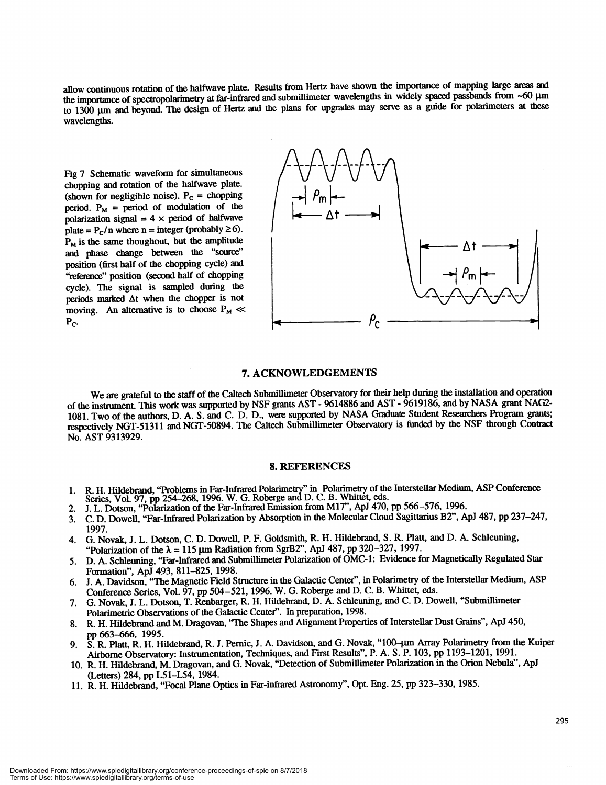allow continuous rotation of the halfwave plate. Results from Hertz have shown the importance of mapping large areas and the importance of spectropolarimetry at far-infrared and submillimeter wavelengths in widely spaced passbands from ~60 µm to 1300 µm and beyond. The design of Hertz and the plans for upgrades may serve as a guide for polarimeters at these wavelengths.

Fig 7 Schematic waveform for simultaneous chopping and rotation of the halfwave plate.<br>(shown for negligible noise).  $P_c =$  chopping period.  $P_M$  = period of modulation of the polarization signal  $= 4 \times$  period of halfwave plate =  $P_c/n$  where n = integer (probably  $\geq 6$ ).  $P_M$  is the same thoughout, but the amplitude and phase change between the "source" position (first half of the chopping cycle) and "reference" position (second half of chopping cycle). The signal is sampled during the periods marked  $\Delta t$  when the chopper is not moving. An alternative is to choose  $P_M \ll P_C$ .



#### 7. ACKNOWLEDGEMENTS

We are grateful to the staff of the Caltech Submillimeter Observatory for their help during the installation and operation of the instrument. This work was supported by NSF grants AST - 9614886 and AST - 9619186, and by NASA grant NAG2-1081. Two of the authors, D. A. S. and C. D. D., were supported by NASA Graduate Student Researchers Program grants; respectively NGT-51311 and NGT-50894. The Caltech Submillimeter Observatory is funded by the NSF through Coniract No. AST 9313929.

#### 8. REFERENCES

- 1. R. H. Hildebrand, "Problems in Far-Infrared Polarimetry" in Polarimetry of the Interstellar Medium, ASP Conference Series, Vol. 97, pp 254-268, 1996. W. G. Roberge and D. C. B. Whittet, eds.<br>2. J. L. Dotson, "Polarizati
- 
- 2. J. L. Dotson, "Polarization of the Far-Infrared Emission from M17", ApJ 470, pp 566–576, 1996.<br>3. C. D. Dowell, "Far-Infrared Polarization by Absorption in the Molecular Cloud Sagittarius B2", A 3. C. D. Dowell, "Far-Infrared Polarization by Absorption in the Molecular Cloud Sagittarius B2", ApJ 487, pp 237—247, 1997.
- 4. G. Novak, J. L. Dotson, C. D. Dowel!, P. F. Goldsmith, R. H. Hildebrand, S. R. Platt, and D. A. Schleuning, "Polarization of the  $\lambda = 115$  µm Radiation from SgrB2", ApJ 487, pp 320–327, 1997.
- 5. D. A. Schleuning, "Far-Infrared and Submillimeter Polarization of OMC-1: Evidence for Magnetically Regulated Star Formation", ApJ 493, 811—825, 1998.
- 6. J. A. Davidson, "The Magnetic Field Structure in the Galactic Center", in Polarimetry of the Interstellar Medium, ASP Conference Series, Vol. 97, pp 504-521, 1996. W. G. Roberge and D. C. B. Whittet, eds.
- 7. G. Novak, J. L. Dotson, T. Renbarger, R. H. Hildebrand, D. A. Schleuning, and C. D. Dowell, "Submillimeter Polarimetric Observations of the Galactic Center". In preparation, 1998.
- 8. R. H. Hildebrand and M. Dragovan, "The Shapes and Alignment Properties of Interstellar Dust Grains", ApJ 450,
- pp 663–666, 1995.<br>9. S. R. Platt, R. H. Hildebrand, R. J. Pernic, J. A. Davidson, and G. Novak, "100–µm Array Polarimetry from the Kuiper Airborne Observatory: Instrumentation, Techniques, and First Results", P. A. S. P. 103, pp 1 193—1201, 1991.
- 10. R. H. Hildebrand, M. Dragovan, and G. Novak, "Detection of Submillimeter Polarization in the Orion Nebula", ApJ (Letters) 284, pp L51—L54, 1984.
- 11. R. H. Hildebrand, "Focal Plane Optics in Far-infrared Astronomy", Opt. Eng. 25, pp323—330, 1985.